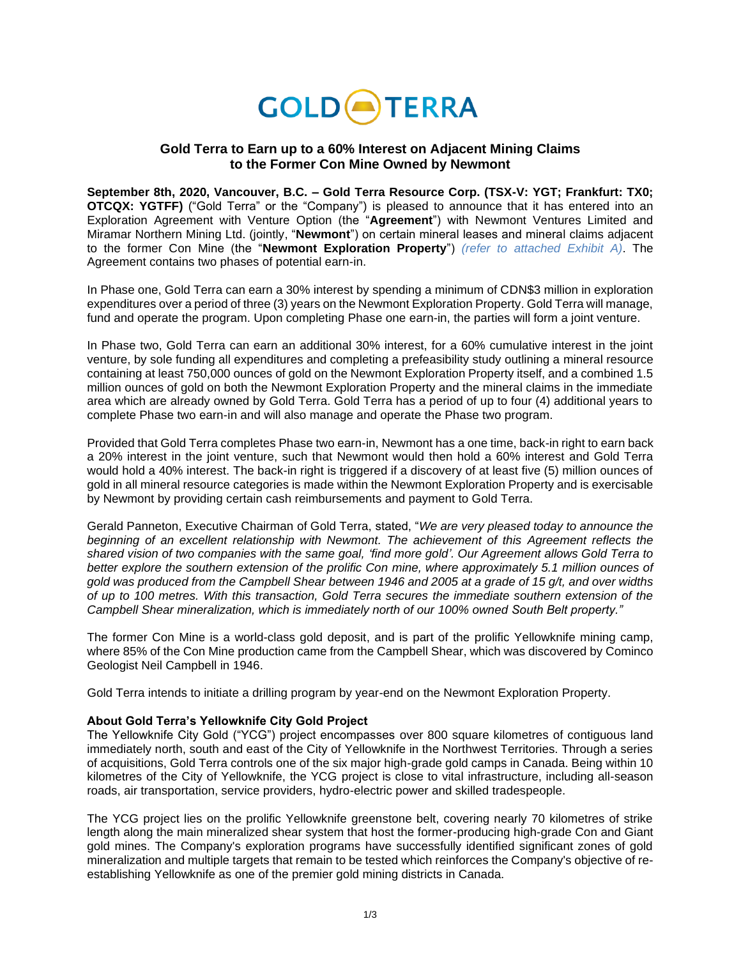

## **Gold Terra to Earn up to a 60% Interest on Adjacent Mining Claims to the Former Con Mine Owned by Newmont**

**September 8th, 2020, Vancouver, B.C. – Gold Terra Resource Corp. (TSX-V: YGT; Frankfurt: TX0; OTCQX: YGTFF)** ("Gold Terra" or the "Company") is pleased to announce that it has entered into an Exploration Agreement with Venture Option (the "**Agreement**") with Newmont Ventures Limited and Miramar Northern Mining Ltd. (jointly, "**Newmont**") on certain mineral leases and mineral claims adjacent to the former Con Mine (the "**Newmont Exploration Property**") *(refer to attached Exhibit A)*. The Agreement contains two phases of potential earn-in.

In Phase one, Gold Terra can earn a 30% interest by spending a minimum of CDN\$3 million in exploration expenditures over a period of three (3) years on the Newmont Exploration Property. Gold Terra will manage, fund and operate the program. Upon completing Phase one earn-in, the parties will form a joint venture.

In Phase two, Gold Terra can earn an additional 30% interest, for a 60% cumulative interest in the joint venture, by sole funding all expenditures and completing a prefeasibility study outlining a mineral resource containing at least 750,000 ounces of gold on the Newmont Exploration Property itself, and a combined 1.5 million ounces of gold on both the Newmont Exploration Property and the mineral claims in the immediate area which are already owned by Gold Terra. Gold Terra has a period of up to four (4) additional years to complete Phase two earn-in and will also manage and operate the Phase two program.

Provided that Gold Terra completes Phase two earn-in, Newmont has a one time, back-in right to earn back a 20% interest in the joint venture, such that Newmont would then hold a 60% interest and Gold Terra would hold a 40% interest. The back-in right is triggered if a discovery of at least five (5) million ounces of gold in all mineral resource categories is made within the Newmont Exploration Property and is exercisable by Newmont by providing certain cash reimbursements and payment to Gold Terra.

Gerald Panneton, Executive Chairman of Gold Terra, stated, "*We are very pleased today to announce the beginning of an excellent relationship with Newmont. The achievement of this Agreement reflects the shared vision of two companies with the same goal, 'find more gold'. Our Agreement allows Gold Terra to better explore the southern extension of the prolific Con mine, where approximately 5.1 million ounces of gold was produced from the Campbell Shear between 1946 and 2005 at a grade of 15 g/t, and over widths of up to 100 metres. With this transaction, Gold Terra secures the immediate southern extension of the Campbell Shear mineralization, which is immediately north of our 100% owned South Belt property."*

The former Con Mine is a world-class gold deposit, and is part of the prolific Yellowknife mining camp, where 85% of the Con Mine production came from the Campbell Shear, which was discovered by Cominco Geologist Neil Campbell in 1946.

Gold Terra intends to initiate a drilling program by year-end on the Newmont Exploration Property.

## **About Gold Terra's Yellowknife City Gold Project**

The Yellowknife City Gold ("YCG") project encompasses over 800 square kilometres of contiguous land immediately north, south and east of the City of Yellowknife in the Northwest Territories. Through a series of acquisitions, Gold Terra controls one of the six major high-grade gold camps in Canada. Being within 10 kilometres of the City of Yellowknife, the YCG project is close to vital infrastructure, including all-season roads, air transportation, service providers, hydro-electric power and skilled tradespeople.

The YCG project lies on the prolific Yellowknife greenstone belt, covering nearly 70 kilometres of strike length along the main mineralized shear system that host the former-producing high-grade Con and Giant gold mines. The Company's exploration programs have successfully identified significant zones of gold mineralization and multiple targets that remain to be tested which reinforces the Company's objective of reestablishing Yellowknife as one of the premier gold mining districts in Canada.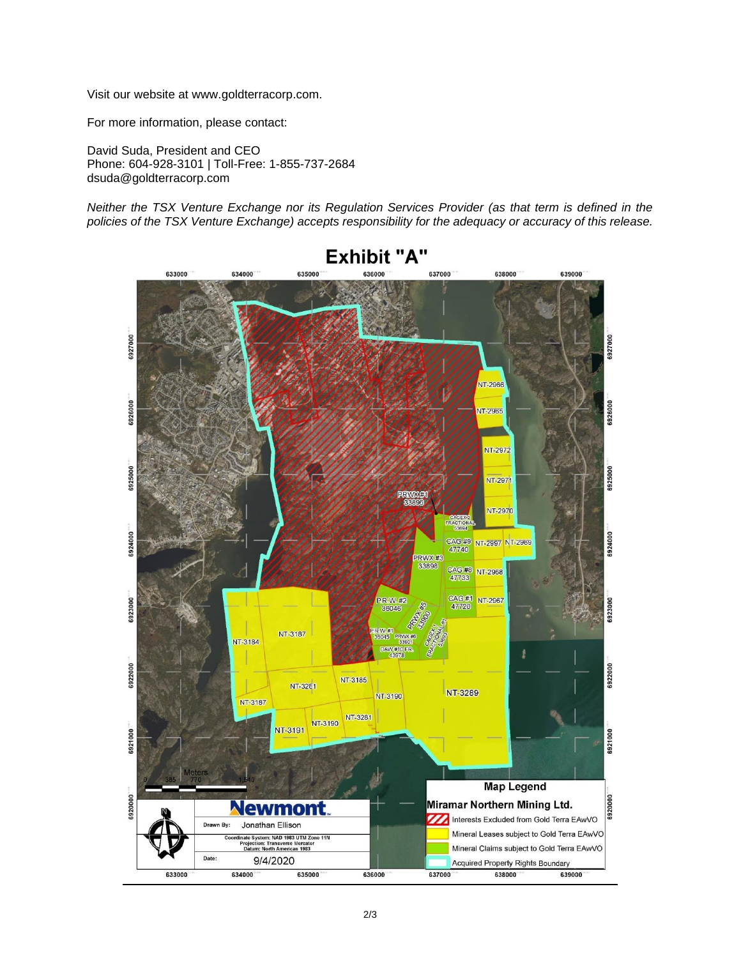Visit our website at [www.goldterracorp.com.](https://goldterracorp.com/)

For more information, please contact:

David Suda, President and CEO Phone: 604-928-3101 | Toll-Free: 1-855-737-2684 dsuda@goldterracorp.com

*Neither the TSX Venture Exchange nor its Regulation Services Provider (as that term is defined in the policies of the TSX Venture Exchange) accepts responsibility for the adequacy or accuracy of this release.*